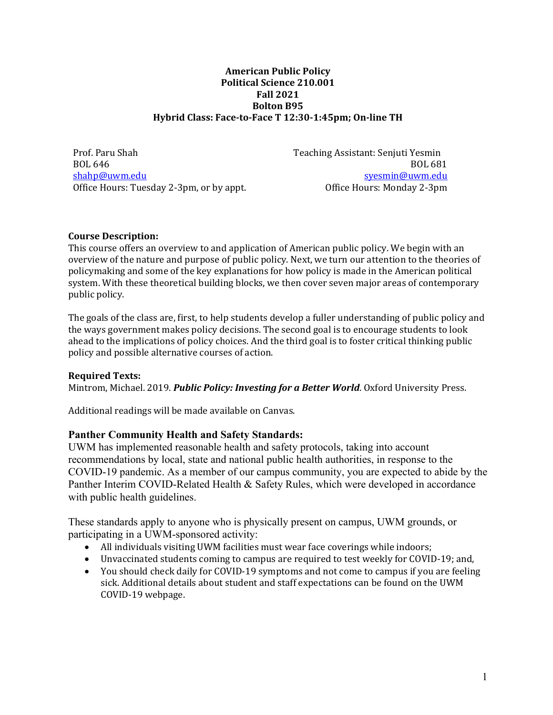#### **American Public Policy Political Science 210.001 Fall 2021 Bolton B95 Hybrid Class: Face‐to‐Face T 12:30‐1:45pm; On‐line TH**

Prof. Paru Shah BOL 646 shahp@uwm.edu Office Hours: Tuesday 2-3pm, or by appt. Teaching Assistant: Senjuti Yesmin BOL 681 syesmin@uwm.edu Office Hours: Monday 2-3pm

### **Course Description:**

This course offers an overview to and application of American public policy. We begin with an overview of the nature and purpose of public policy. Next, we turn our attention to the theories of policymaking and some of the key explanations for how policy is made in the American political system. With these theoretical building blocks, we then cover seven major areas of contemporary public policy.

The goals of the class are, first, to help students develop a fuller understanding of public policy and the ways government makes policy decisions. The second goal is to encourage students to look ahead to the implications of policy choices. And the third goal is to foster critical thinking public policy and possible alternative courses of action.

### **Required Texts:**

Mintrom, Michael. 2019. *Public Policy: Investing for a Better World*. Oxford University Press.

Additional readings will be made available on Canvas.

# **Panther Community Health and Safety Standards:**

UWM has implemented reasonable health and safety protocols, taking into account recommendations by local, state and national public health authorities, in response to the COVID-19 pandemic. As a member of our campus community, you are expected to abide by the Panther Interim COVID-Related Health & Safety Rules, which were developed in accordance with public health guidelines.

These standards apply to anyone who is physically present on campus, UWM grounds, or participating in a UWM-sponsored activity:

- All individuals visiting UWM facilities must wear face coverings while indoors;
- Unvaccinated students coming to campus are required to test weekly for COVID-19; and,
- You should check daily for COVID-19 symptoms and not come to campus if you are feeling sick. Additional details about student and staff expectations can be found on the UWM COVID-19 webpage.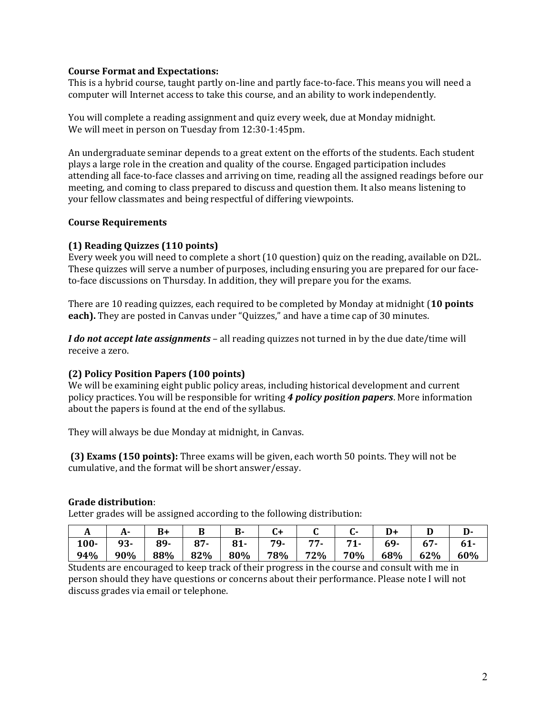#### **Course Format and Expectations:**

This is a hybrid course, taught partly on-line and partly face-to-face. This means you will need a computer will Internet access to take this course, and an ability to work independently.

You will complete a reading assignment and quiz every week, due at Monday midnight. We will meet in person on Tuesday from 12:30-1:45pm.

An undergraduate seminar depends to a great extent on the efforts of the students. Each student plays a large role in the creation and quality of the course. Engaged participation includes attending all face-to-face classes and arriving on time, reading all the assigned readings before our meeting, and coming to class prepared to discuss and question them. It also means listening to your fellow classmates and being respectful of differing viewpoints.

#### **Course Requirements**

### **(1) Reading Quizzes (110 points)**

Every week you will need to complete a short (10 question) quiz on the reading, available on D2L. These quizzes will serve a number of purposes, including ensuring you are prepared for our faceto-face discussions on Thursday. In addition, they will prepare you for the exams.

There are 10 reading quizzes, each required to be completed by Monday at midnight (**10 points each).** They are posted in Canvas under "Quizzes," and have a time cap of 30 minutes.

*I do not accept late assignments* – all reading quizzes not turned in by the due date/time will receive a zero.

### **(2) Policy Position Papers (100 points)**

We will be examining eight public policy areas, including historical development and current policy practices. You will be responsible for writing *4 policy position papers*. More information about the papers is found at the end of the syllabus.

They will always be due Monday at midnight, in Canvas.

**(3) Exams (150 points):** Three exams will be given, each worth 50 points. They will not be cumulative, and the format will be short answer/essay.

#### **Grade distribution**:

Letter grades will be assigned according to the following distribution:

| л       |     |     |        | D.    |     |     |     |     |     | יע. |
|---------|-----|-----|--------|-------|-----|-----|-----|-----|-----|-----|
| $100 -$ | 93- | 89- | $87 -$ | $81-$ | 79- | . . |     | 69- | 67  | 61- |
| 94%     | 90% | 88% | 82%    | 80%   | 78% | 72% | 70% | 68% | 62% | 60% |

Students are encouraged to keep track of their progress in the course and consult with me in person should they have questions or concerns about their performance. Please note I will not discuss grades via email or telephone.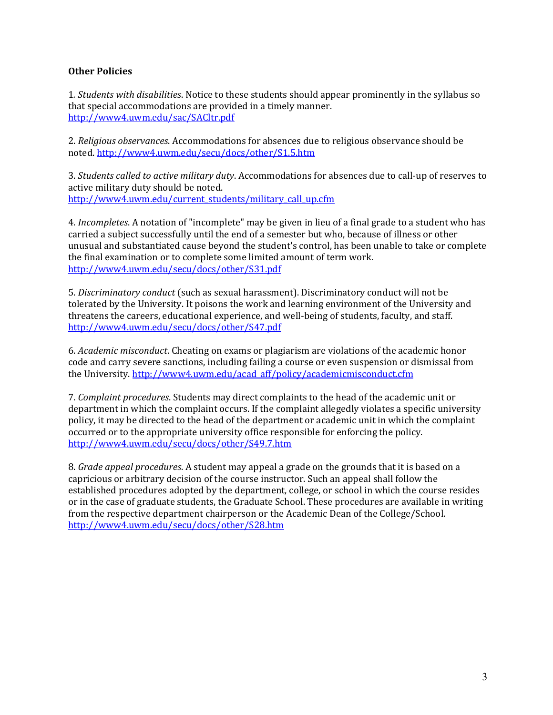### **Other Policies**

1*. Students with disabilities*. Notice to these students should appear prominently in the syllabus so that special accommodations are provided in a timely manner. http://www4.uwm.edu/sac/SACltr.pdf

2. *Religious observances*. Accommodations for absences due to religious observance should be noted. http://www4.uwm.edu/secu/docs/other/S1.5.htm

3. *Students called to active military duty*. Accommodations for absences due to call-up of reserves to active military duty should be noted. http://www4.uwm.edu/current\_students/military\_call\_up.cfm

4. *Incompletes*. A notation of "incomplete" may be given in lieu of a final grade to a student who has carried a subject successfully until the end of a semester but who, because of illness or other unusual and substantiated cause beyond the student's control, has been unable to take or complete the final examination or to complete some limited amount of term work. http://www4.uwm.edu/secu/docs/other/S31.pdf

5. *Discriminatory conduct* (such as sexual harassment). Discriminatory conduct will not be tolerated by the University. It poisons the work and learning environment of the University and threatens the careers, educational experience, and well-being of students, faculty, and staff. http://www4.uwm.edu/secu/docs/other/S47.pdf

6. *Academic misconduct*. Cheating on exams or plagiarism are violations of the academic honor code and carry severe sanctions, including failing a course or even suspension or dismissal from the University. http://www4.uwm.edu/acad\_aff/policy/academicmisconduct.cfm

7. *Complaint procedures*. Students may direct complaints to the head of the academic unit or department in which the complaint occurs. If the complaint allegedly violates a specific university policy, it may be directed to the head of the department or academic unit in which the complaint occurred or to the appropriate university office responsible for enforcing the policy. http://www4.uwm.edu/secu/docs/other/S49.7.htm

8. *Grade appeal procedures*. A student may appeal a grade on the grounds that it is based on a capricious or arbitrary decision of the course instructor. Such an appeal shall follow the established procedures adopted by the department, college, or school in which the course resides or in the case of graduate students, the Graduate School. These procedures are available in writing from the respective department chairperson or the Academic Dean of the College/School. http://www4.uwm.edu/secu/docs/other/S28.htm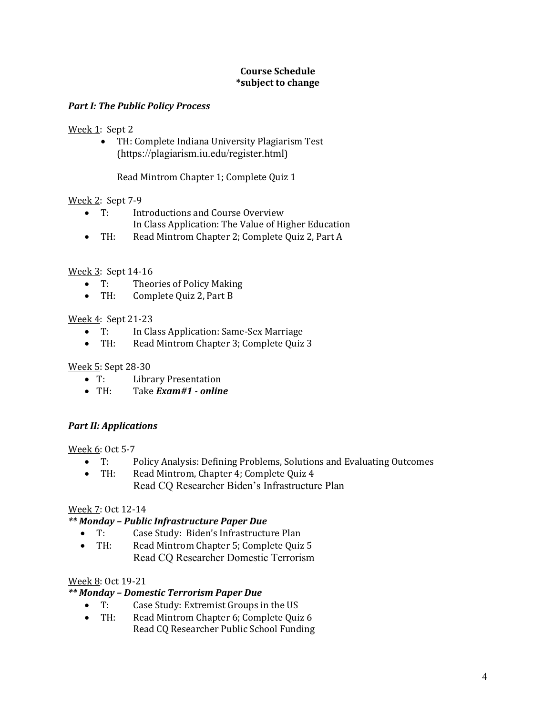### **Course Schedule \*subject to change**

### *Part I: The Public Policy Process*

### Week 1: Sept 2

 TH: Complete Indiana University Plagiarism Test (https://plagiarism.iu.edu/register.html)

Read Mintrom Chapter 1; Complete Quiz 1

## Week 2: Sept 7-9

- T: Introductions and Course Overview In Class Application: The Value of Higher Education
- TH: Read Mintrom Chapter 2; Complete Quiz 2, Part A

## Week 3: Sept 14-16

- T: Theories of Policy Making
- TH: Complete Quiz 2, Part B

## Week 4: Sept 21-23

- T: In Class Application: Same-Sex Marriage
- TH: Read Mintrom Chapter 3; Complete Quiz 3

# Week 5: Sept 28-30

- T: Library Presentation
- TH: Take *Exam#1* · online

# *Part II: Applications*

### Week 6: Oct 5-7

- T: Policy Analysis: Defining Problems, Solutions and Evaluating Outcomes
- TH: Read Mintrom, Chapter 4; Complete Quiz 4 Read CQ Researcher Biden's Infrastructure Plan

### Week 7: Oct 12-14

# *\*\* Monday – Public Infrastructure Paper Due*

- T: Case Study: Biden's Infrastructure Plan
- TH: Read Mintrom Chapter 5; Complete Quiz 5 Read CQ Researcher Domestic Terrorism

# Week 8: Oct 19-21

### *\*\* Monday – Domestic Terrorism Paper Due*

- T: Case Study: Extremist Groups in the US
- TH: Read Mintrom Chapter 6; Complete Quiz 6 Read CQ Researcher Public School Funding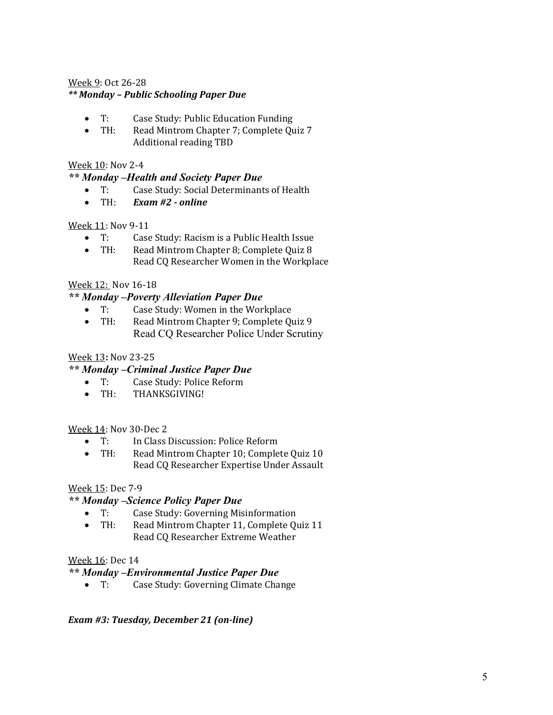## Week 9: Oct 26-28 *\*\* Monday – Public Schooling Paper Due*

- T: Case Study: Public Education Funding
- TH: Read Mintrom Chapter 7; Complete Quiz 7 Additional reading TBD

## Week 10: Nov 2-4

## *\*\* Monday –Health and Society Paper Due*

- T: Case Study: Social Determinants of Health
- TH: *Exam #2 online*

### Week 11: Nov 9-11

- T: Case Study: Racism is a Public Health Issue
- TH: Read Mintrom Chapter 8; Complete Quiz 8 Read CQ Researcher Women in the Workplace

## Week 12: Nov 16-18

### *\*\* Monday –Poverty Alleviation Paper Due*

- T: Case Study: Women in the Workplace
- TH: Read Mintrom Chapter 9; Complete Quiz 9 Read CQ Researcher Police Under Scrutiny

### Week 13**:** Nov 23-25

# *\*\* Monday –Criminal Justice Paper Due*

- T: Case Study: Police Reform
- TH: THANKSGIVING!

### Week 14: Nov 30-Dec 2

- T: In Class Discussion: Police Reform
- TH: Read Mintrom Chapter 10; Complete Quiz 10 Read CQ Researcher Expertise Under Assault

### Week 15: Dec 7-9

### *\*\* Monday –Science Policy Paper Due*

- T: Case Study: Governing Misinformation
- TH: Read Mintrom Chapter 11, Complete Quiz 11 Read CQ Researcher Extreme Weather

### Week 16: Dec 14

### *\*\* Monday –Environmental Justice Paper Due*

T: Case Study: Governing Climate Change

### *Exam #3: Tuesday, December 21 (on‐line)*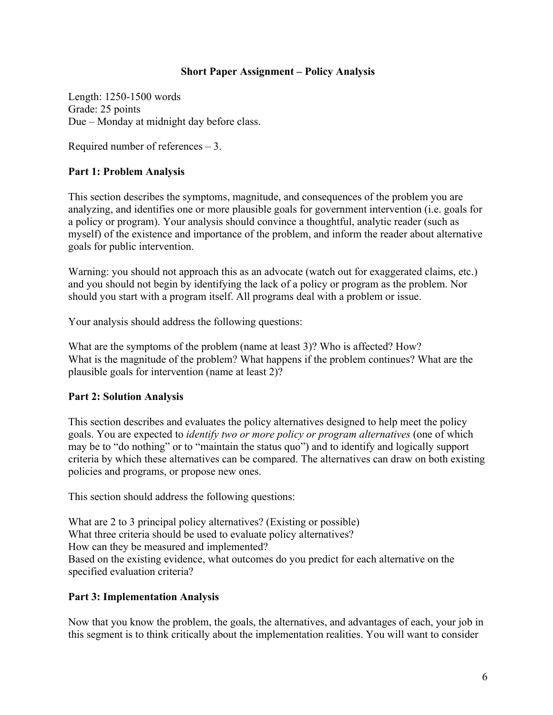### **Short Paper Assignment – Policy Analysis**

Length: 1250-1500 words Grade: 25 points Due – Monday at midnight day before class.

Required number of references – 3.

# **Part 1: Problem Analysis**

This section describes the symptoms, magnitude, and consequences of the problem you are analyzing, and identifies one or more plausible goals for government intervention (i.e. goals for a policy or program). Your analysis should convince a thoughtful, analytic reader (such as myself) of the existence and importance of the problem, and inform the reader about alternative goals for public intervention.

Warning: you should not approach this as an advocate (watch out for exaggerated claims, etc.) and you should not begin by identifying the lack of a policy or program as the problem. Nor should you start with a program itself. All programs deal with a problem or issue.

Your analysis should address the following questions:

What are the symptoms of the problem (name at least 3)? Who is affected? How? What is the magnitude of the problem? What happens if the problem continues? What are the plausible goals for intervention (name at least 2)?

# **Part 2: Solution Analysis**

This section describes and evaluates the policy alternatives designed to help meet the policy goals. You are expected to *identify two or more policy or program alternatives* (one of which may be to "do nothing" or to "maintain the status quo") and to identify and logically support criteria by which these alternatives can be compared. The alternatives can draw on both existing policies and programs, or propose new ones.

This section should address the following questions:

What are 2 to 3 principal policy alternatives? (Existing or possible) What three criteria should be used to evaluate policy alternatives? How can they be measured and implemented? Based on the existing evidence, what outcomes do you predict for each alternative on the specified evaluation criteria?

# **Part 3: Implementation Analysis**

Now that you know the problem, the goals, the alternatives, and advantages of each, your job in this segment is to think critically about the implementation realities. You will want to consider